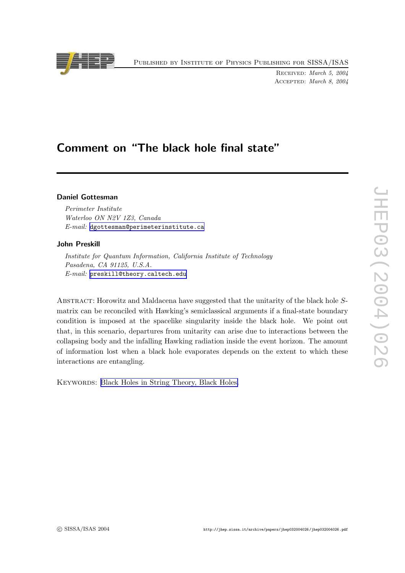Published by Institute of Physics Publishing for SISSA/ISAS



Received: March 5, 2004 Accepted: March 8, 2004

# Comment on "The black hole final state"

# Daniel Gottesman

Perimeter Institute Waterlo o ON N2V 1Z3, Canada  $E\text{-}mail:$  [dgottesman@perimeterinstitute.c](mailto:dgottesman@perimeterinstitute.ca)a

## John Preskill

Institute for Quantum Information, California Institute of Technology Pasadena, CA 91125, U.S.A.  $E$ -mail: [preskill@theory.caltech.ed](mailto:preskill@theory.caltech.edu)u

ABSTRACT: Horowitz and Maldacena have suggested that the unitarity of the black hole Smatrix can b e reconciled with Hawking's semiclassical arguments if a final-state boundary condition is imposed at the spacelik e singularit y inside the blac k hole. We poin t out that, in this scenario, departures from unitarit y can arise due to interactions bet ween the collapsing b ody and the infalling Hawking radiation inside the even t horizon. The amoun t of information lost when a blac k hole evaporates depends on the exten t to whic h these interactions are entangling.

KEYWORDS: Black Holes in String [Theory](http://jhep.sissa.it/stdsearch?keywords=Black_Holes_in_String_Theory+Black_Holes), Black Holes.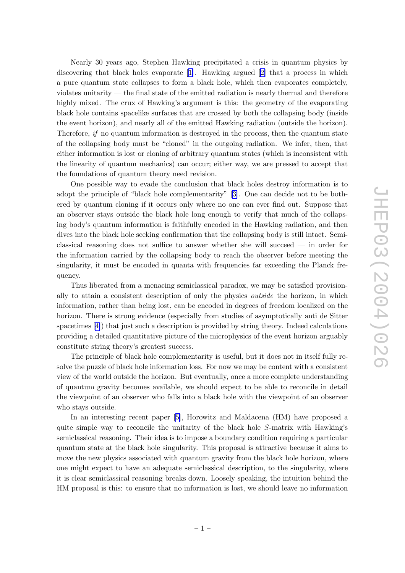Nearly 30 years ago, Stephen Hawking precipitated a crisis in quantum physics by discovering that black holes evaporate [[1\]](#page-5-0). Hawking argued [[2](#page-5-0)] that a process in which a pure quantum state collapses to form a blac k hole, whic h then evaporates completely , violates unitarit y — the final state of the emitted radiation is nearly thermal and therefore highly mixed. The crux of Hawking's argumen t is this: the geometry of the evaporating blac k hole contains spacelik e surfaces that are crossed b y both the collapsing b ody (inside the even t horizon), and nearly all of the emitted Hawking radiation (outside the horizon). Therefore,  $if$  no quantum information is destroyed in the process, then the quantum state of the collapsing b ody must b e "cloned" in the outgoing radiation. We infer, then, that either information is lost or cloning of arbitrary quantum states (which is inconsistent with the linearity of quantum mechanics) can occur; either way, we are pressed to accept that the foundations of quantum theory need revision.

One possible w ay to evade the conclusion that blac k holes destro y information is to adopt the principle of "black hole complementarity" [[3\]](#page-5-0). One can decide not to be bothered by quantum cloning if it occurs only where no one can ever find out. Suppose that an observer stays outside the blac k hole long enough to verify that muc h of the collapsing body's quantum information is faithfully encoded in the Hawking radiation, and then dives into the black hole seeking confirmation that the collapsing body is still intact. Semiclassical reasoning does not suffice to answer whether she will succeed — in order for the information carried b y the collapsing b ody to reac h the observer before meeting the singularity, it must be encoded in quanta with frequencies far exceeding the Planck frequency.

Thus liberated from a menacing semiclassical paradox, w e may b e satisfied provisionally to attain a consistent description of only the physics outside the horizon, in which information, rather than being lost, can b e encoded in degrees of freedom localized on the horizon. There is strong evidence (especially from studies of asymptotically anti de Sitter spacetimes [\[4\]](#page-5-0)) that just such a description is provided by string theory. Indeed calculations providing a detailed quantitativ e picture of the microphysics of the even t horizon arguably constitute string theory's greatest success.

The principle of blac k hole complementarit y is useful, but it does not in itself fully resolve the puzzle of black hole information loss. For now we may be content with a consistent view of the world outside the horizon. But eventually , once a more complete understanding of quantum gravit y becomes available, w e should expect to b e able to reconcile in detail the viewpoin t of an observer who falls into a blac k hole with the viewpoin t of an observer who stays outside.

In an interesting recent paper [[5\]](#page-5-0), Horowitz and Maldacena (HM) have proposed a quite simple w ay to reconcile the unitarit y of the blac k hole S-matrix with Hawking's semiclassical reasoning. Their idea is to impose a boundary condition requiring a particular quantum state at the blac k hole singularit y . This proposal is attractiv e because it aims to move the new physics associated with quantum gravity from the black hole horizon, where one might expect to have an adequate semiclassical description, to the singularity, where it is clear semiclassical reasoning breaks down. Loosely speaking, the intuition behind the HM proposal is this: to ensure that no information is lost, w e should leav e no information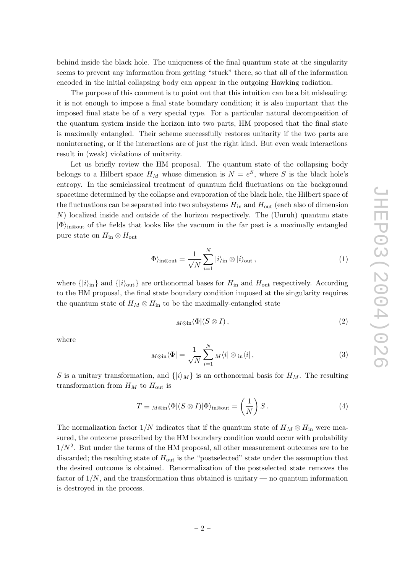behind inside the black hole. The uniqueness of the final quantum state at the singularity seems to prevent any information from getting "stuck" there, so that all of the information encoded in the initial collapsing b ody can appear in the outgoing Hawking radiation.

The purpose of this comment is to point out that this intuition can be a bit misleading: it is not enough to impose a final state boundary condition; it is also importan t that the imposed final state b e of a very special type. For a particular natural decomposition of the quantum system inside the horizon into t w o parts, HM proposed that the final state is maximally entangled. Their scheme successfully restores unitarity if the two parts are noninteracting, or if the interactions are of just the right kind. But even weak interactions result in (weak) violations of unitarit y .

Let us briefly review the HM proposal. The quantum state of the collapsing body belongs to a Hilbert space  $H_M$  whose dimension is  $N = e^S$ , where S is the black hole's entrop y . In the semiclassical treatmen t of quantum field fluctuations on the background spacetime determined b y the collapse and evaporation of the blac k hole, the Hilbert space of the fluctuations can be separated into two subsystems  $H_{\text{in}}$  and  $H_{\text{out}}$  (each also of dimension N ) localized inside and outside of the horizon respectively . The (Unruh) quantum state  $|\Phi\rangle$ <sub>in⊗out</sub> of the fields that looks like the vacuum in the far past is a maximally entangled pure state on  $H_{\text{in}} \otimes H_{\text{out}}$ 

$$
|\Phi\rangle_{\text{in}\otimes\text{out}} = \frac{1}{\sqrt{N}} \sum_{i=1}^{N} |i\rangle_{\text{in}} \otimes |i\rangle_{\text{out}},
$$
\n(1)

where  $\{|i\rangle_{\text{in}}\}$  and  $\{|i\rangle_{\text{out}}\}$  are orthonormal bases for  $H_{\text{in}}$  and  $H_{\text{out}}$  respectively. According to the HM proposal, the final state boundary condition imposed at the singularity requires the quantum state of  $H_M \otimes H_{\text{in}}$  to be the maximally-entangled state

$$
M \otimes \text{in} \langle \Phi | (S \otimes I) , \tag{2}
$$

where

$$
M \otimes \text{in} \langle \Phi | = \frac{1}{\sqrt{N}} \sum_{i=1}^{N} M \langle i | \otimes \text{in} \langle i | , \tag{3}
$$

S is a unitary transformation, and  $\{|i\rangle_M\}$  is an orthonormal basis for  $H_M$ . The resulting transformation from  $H_M$  to  $H_{\text{out}}$  is

$$
T \equiv M \otimes \text{in} \langle \Phi | (S \otimes I) | \Phi \rangle_{\text{in} \otimes \text{out}} = \left(\frac{1}{N}\right) S. \tag{4}
$$

The normalization factor  $1/N$  indicates that if the quantum state of  $H_M \otimes H_{\text{in}}$  were measured, the outcome prescribed by the HM boundary condition would occur with probability  $1/N^2$ . But under the terms of the HM proposal, all other measurement outcomes are to be discarded; the resulting state of  $H_{\text{out}}$  is the "postselected" state under the assumption that the desired outcome is obtained. Renormalization of the postselected state removes the factor of  $1/N$ , and the transformation thus obtained is unitary — no quantum information is destro yed in the process.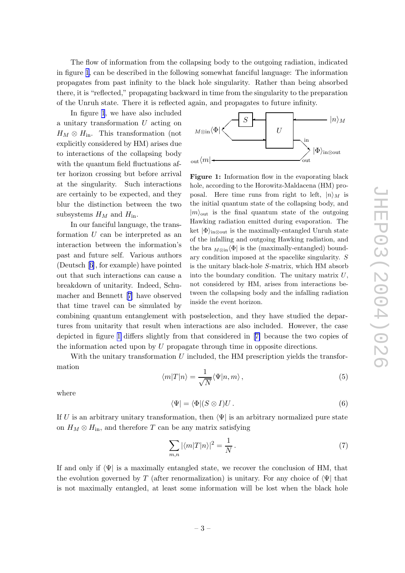The flo w of information from the collapsing b ody to the outgoing radiation, indicated in figure 1 , can b e described in the following somewhat fanciful language: The information propagates from past infinit y to the blac k hole singularit y . Rather than being absorbed there, it is "reflected," propagating backward in time from the singularity to the preparation of the Unruh state. There it is reflected again, and propagates to future infinit y .

In figure 1 , w e hav e also included a unitary transformation U acting on  $H_M \otimes H_{\text{in}}$ . This transformation (not explicitly considered b y HM) arises due to interactions of the collapsing b ody with the quantum field fluctuations after horizon crossing but before arrival at the singularit y . Suc h interactions are certainly to b e expected, and they blur the distinction bet ween the t w o subsystems  $H_M$  and  $H_{\text{in}}$ .

In our fanciful language, the transformation  $U$  can be interpreted as an interaction bet ween the information's past and future self. Various authors (Deutsc h [[6\]](#page-5-0), for example) hav e pointed out that suc h interactions can cause a breakdown of unitarit y . Indeed, Sc humacher and Bennett [[7](#page-5-0)] have observed that time travel can b e simulated b y



Figure 1: Information flow in the evaporating black hole, according to the Horowitz-Maldacena (HM) pro posal. Here time runs from right to left,  $|n\rangle_M$  is the initial quantum state of the collapsing b ody , and  $|m\rangle$ <sub>out</sub> is the final quantum state of the outgoing Hawking radiation emitted during evaporation. The ket  $|\Phi\rangle_{in\fty}$ <sub>in $\otimes$ out is the maximally-entangled</sub> Unruh state of the infalling and outgoing Hawking radiation, and the bra  $_{M\otimes\text{in}}\langle\Phi|$  is the (maximally-entangled) boundary condition imposed at the spacelike singularity. S is the unitary black-hole S-matrix, whic h HM absorb into the boundary condition. The unitary matrix  $U$ , not considered b y HM, arises from interactions between the collapsing body and the infalling radiation inside the even t horizon.

combining quantum entanglemen t with postselection, and they hav e studied the departures from unitarity that result when interactions are also included. However, the case depicted in figure 1 differs slightly from that considered in [[7](#page-5-0)] because the two copies of the information acted upon b y U propagate through time in opposite directions.

With the unitary transformation  $U$  included, the HM prescription yields the transformation

$$
\langle m|T|n\rangle = \frac{1}{\sqrt{N}} \langle \Psi|n,m\rangle, \qquad (5)
$$

where

$$
\langle \Psi | = \langle \Phi | (S \otimes I) U. \tag{6}
$$

If U is an arbitrary unitary transformation, then  $|\Psi|$  is an arbitrary normalized pure state on  $H_M \otimes H_{\text{in}}$ , and therefore T can be any matrix satisfying

$$
\sum_{m,n} |\langle m|T|n\rangle|^2 = \frac{1}{N}.
$$
\n(7)

If and only if  $\Psi$  is a maximally entangled state, we recover the conclusion of HM, that the evolution governed by T (after renormalization) is unitary. For any choice of  $\Psi$  that is not maximally entangled, at least some information will b e lost when the blac k hole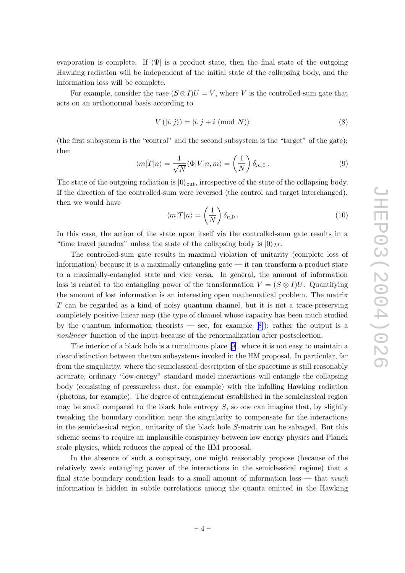evaporation is complete. If  $\Psi$  is a product state, then the final state of the outgoing Hawking radiation will b e independen t of the initial state of the collapsing b ody , and the information loss will b e complete.

For example, consider the case  $(S \otimes I)U = V$ , where V is the controlled-sum gate that acts on an orthonormal basis according to

$$
V(|i,j\rangle) = |i,j+i \pmod{N}\rangle
$$
 (8)

(the first subsystem is the "control" and the second subsystem is the "target" of the gate); then

$$
\langle m|T|n\rangle = \frac{1}{\sqrt{N}} \langle \Phi|V|n,m\rangle = \left(\frac{1}{N}\right) \delta_{m,0}.
$$
\n(9)

The state of the outgoing radiation is  $|0\rangle_{\text{out}}$ , irrespective of the state of the collapsing body. If the direction of the controlled-sum were reversed (the control and target interchanged), then w e would hav e

$$
\langle m|T|n\rangle = \left(\frac{1}{N}\right)\delta_{n,0}.
$$
\n(10)

In this case, the action of the state upon itself via the controlled-sum gate results in a "time travel paradox" unless the state of the collapsing body is  $|0\rangle_M$ .

The controlled-sum gate results in maximal violation of unitarity (complete loss of information) because it is a maximally entangling gate — it can transform a product state to a maximally-entangled state and vice versa. In general, the amoun t of information loss is related to the entangling power of the transformation  $V = (S \otimes I)U$ . Quantifying the amoun t of lost information is an interesting open mathematical problem. The matrix T can b e regarded as a kind of noisy quantum channel, but it is not a trace-preserving completely positiv e linear map (the typ e of channel whose capacit y has been muc h studied b y the quantum information theorists — see, for example [[8\]](#page-5-0)); rather the output is a nonlinear function of the input because of the renormalization after postselection.

The interior of a blac k hole is a tumultuous place [[9\]](#page-5-0), where it is not easy to maintain a clear distinction bet ween the t w o subsystems in voked in the HM proposal. In particular, far from the singularit y , where the semiclassical description of the spacetime is still reasonably accurate, ordinary "low-energy" standard model interactions will entangle the collapsing body (consisting of pressureless dust, for example) with the infalling Hawking radiation (photons, for example). The degree of entanglemen t established in the semiclassical region may b e small compared to the blac k hole entrop y S , so one can imagine that, b y slightly t weaking the boundary condition near the singularit y to compensate for the interactions in the semiclassical region, unitarit y of the blac k hole S-matrix can b e salvaged. But this scheme seems to require an implausible conspiracy bet ween lo w energy physics and Planc k scale physics, whic h reduces the appeal of the HM proposal.

In the absence of suc h a conspiracy , one migh t reasonably propose (because of the relatively weak entangling p o wer of the interactions in the semiclassical regime) that a final state boundary condition leads to a small amount of information loss — that much information is hidden in subtle correlations among the quanta emitted in the Hawking